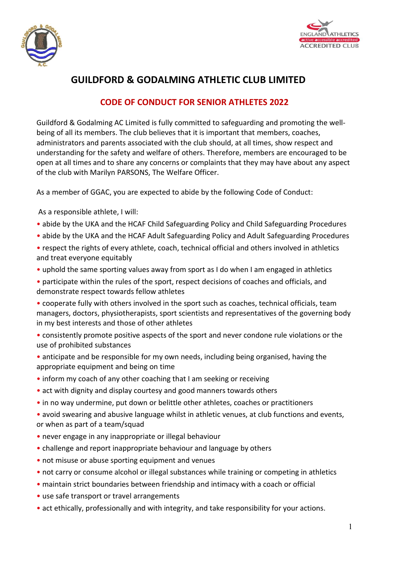



## **GUILDFORD & GODALMING ATHLETIC CLUB LIMITED**

## **CODE OF CONDUCT FOR SENIOR ATHLETES 2022**

Guildford & Godalming AC Limited is fully committed to safeguarding and promoting the wellbeing of all its members. The club believes that it is important that members, coaches, administrators and parents associated with the club should, at all times, show respect and understanding for the safety and welfare of others. Therefore, members are encouraged to be open at all times and to share any concerns or complaints that they may have about any aspect of the club with Marilyn PARSONS, The Welfare Officer.

As a member of GGAC, you are expected to abide by the following Code of Conduct:

As a responsible athlete, I will:

- abide by the UKA and the HCAF Child Safeguarding Policy and Child Safeguarding Procedures
- abide by the UKA and the HCAF Adult Safeguarding Policy and Adult Safeguarding Procedures
- respect the rights of every athlete, coach, technical official and others involved in athletics and treat everyone equitably
- uphold the same sporting values away from sport as I do when I am engaged in athletics
- participate within the rules of the sport, respect decisions of coaches and officials, and demonstrate respect towards fellow athletes
- cooperate fully with others involved in the sport such as coaches, technical officials, team managers, doctors, physiotherapists, sport scientists and representatives of the governing body in my best interests and those of other athletes
- consistently promote positive aspects of the sport and never condone rule violations or the use of prohibited substances
- anticipate and be responsible for my own needs, including being organised, having the appropriate equipment and being on time
- inform my coach of any other coaching that I am seeking or receiving
- act with dignity and display courtesy and good manners towards others
- in no way undermine, put down or belittle other athletes, coaches or practitioners
- avoid swearing and abusive language whilst in athletic venues, at club functions and events, or when as part of a team/squad
- never engage in any inappropriate or illegal behaviour
- challenge and report inappropriate behaviour and language by others
- not misuse or abuse sporting equipment and venues
- not carry or consume alcohol or illegal substances while training or competing in athletics
- maintain strict boundaries between friendship and intimacy with a coach or official
- use safe transport or travel arrangements
- act ethically, professionally and with integrity, and take responsibility for your actions.